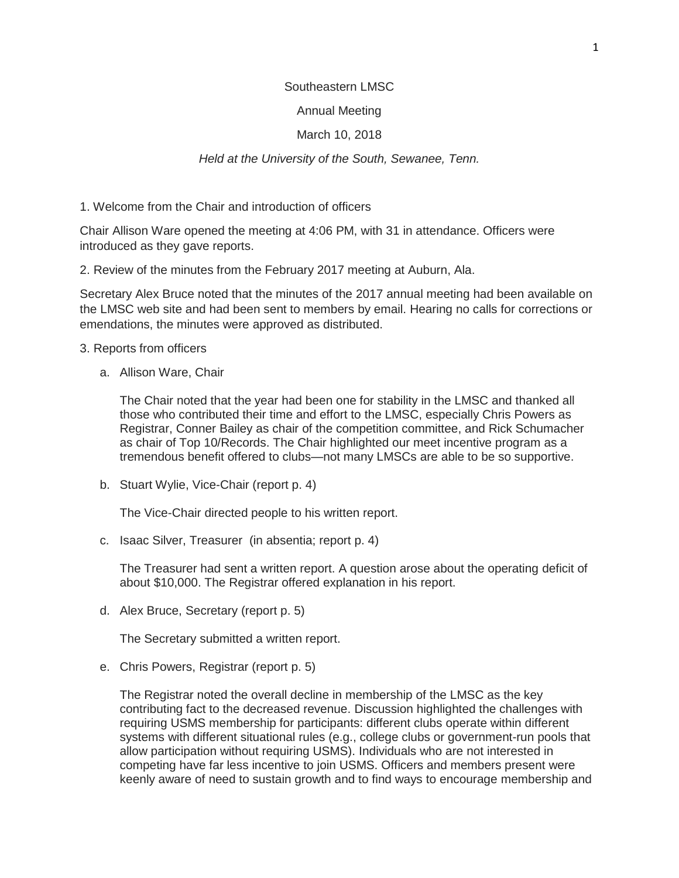### Southeastern LMSC

## Annual Meeting

## March 10, 2018

## *Held at the University of the South, Sewanee, Tenn.*

1. Welcome from the Chair and introduction of officers

Chair Allison Ware opened the meeting at 4:06 PM, with 31 in attendance. Officers were introduced as they gave reports.

2. Review of the minutes from the February 2017 meeting at Auburn, Ala.

Secretary Alex Bruce noted that the minutes of the 2017 annual meeting had been available on the LMSC web site and had been sent to members by email. Hearing no calls for corrections or emendations, the minutes were approved as distributed.

- 3. Reports from officers
	- a. Allison Ware, Chair

The Chair noted that the year had been one for stability in the LMSC and thanked all those who contributed their time and effort to the LMSC, especially Chris Powers as Registrar, Conner Bailey as chair of the competition committee, and Rick Schumacher as chair of Top 10/Records. The Chair highlighted our meet incentive program as a tremendous benefit offered to clubs—not many LMSCs are able to be so supportive.

b. Stuart Wylie, Vice-Chair (report p. 4)

The Vice-Chair directed people to his written report.

c. Isaac Silver, Treasurer (in absentia; report p. 4)

The Treasurer had sent a written report. A question arose about the operating deficit of about \$10,000. The Registrar offered explanation in his report.

d. Alex Bruce, Secretary (report p. 5)

The Secretary submitted a written report.

e. Chris Powers, Registrar (report p. 5)

The Registrar noted the overall decline in membership of the LMSC as the key contributing fact to the decreased revenue. Discussion highlighted the challenges with requiring USMS membership for participants: different clubs operate within different systems with different situational rules (e.g., college clubs or government-run pools that allow participation without requiring USMS). Individuals who are not interested in competing have far less incentive to join USMS. Officers and members present were keenly aware of need to sustain growth and to find ways to encourage membership and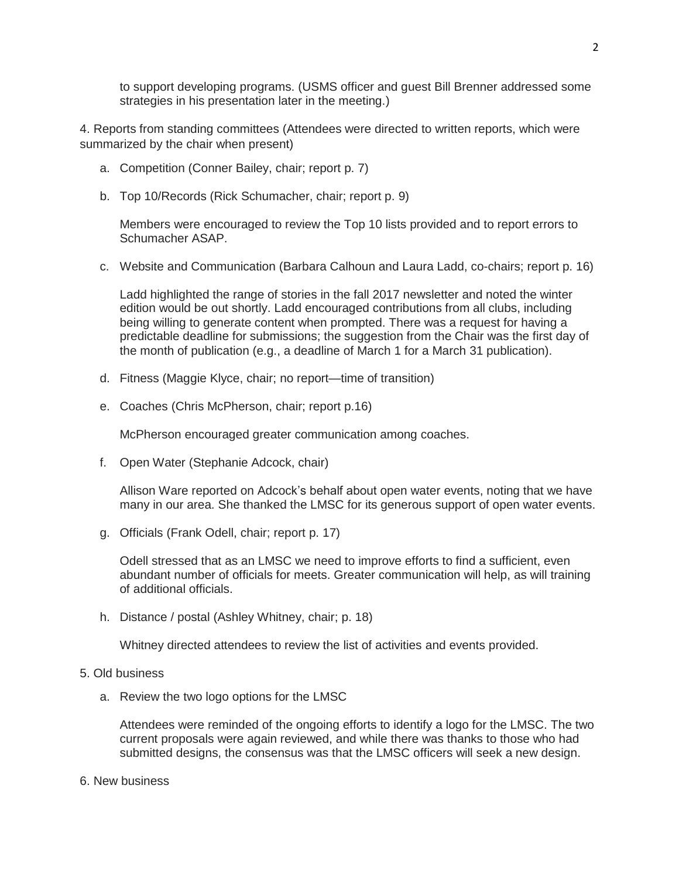to support developing programs. (USMS officer and guest Bill Brenner addressed some strategies in his presentation later in the meeting.)

4. Reports from standing committees (Attendees were directed to written reports, which were summarized by the chair when present)

- a. Competition (Conner Bailey, chair; report p. 7)
- b. Top 10/Records (Rick Schumacher, chair; report p. 9)

Members were encouraged to review the Top 10 lists provided and to report errors to Schumacher ASAP.

c. Website and Communication (Barbara Calhoun and Laura Ladd, co-chairs; report p. 16)

Ladd highlighted the range of stories in the fall 2017 newsletter and noted the winter edition would be out shortly. Ladd encouraged contributions from all clubs, including being willing to generate content when prompted. There was a request for having a predictable deadline for submissions; the suggestion from the Chair was the first day of the month of publication (e.g., a deadline of March 1 for a March 31 publication).

- d. Fitness (Maggie Klyce, chair; no report—time of transition)
- e. Coaches (Chris McPherson, chair; report p.16)

McPherson encouraged greater communication among coaches.

f. Open Water (Stephanie Adcock, chair)

Allison Ware reported on Adcock's behalf about open water events, noting that we have many in our area. She thanked the LMSC for its generous support of open water events.

g. Officials (Frank Odell, chair; report p. 17)

Odell stressed that as an LMSC we need to improve efforts to find a sufficient, even abundant number of officials for meets. Greater communication will help, as will training of additional officials.

h. Distance / postal (Ashley Whitney, chair; p. 18)

Whitney directed attendees to review the list of activities and events provided.

### 5. Old business

a. Review the two logo options for the LMSC

Attendees were reminded of the ongoing efforts to identify a logo for the LMSC. The two current proposals were again reviewed, and while there was thanks to those who had submitted designs, the consensus was that the LMSC officers will seek a new design.

6. New business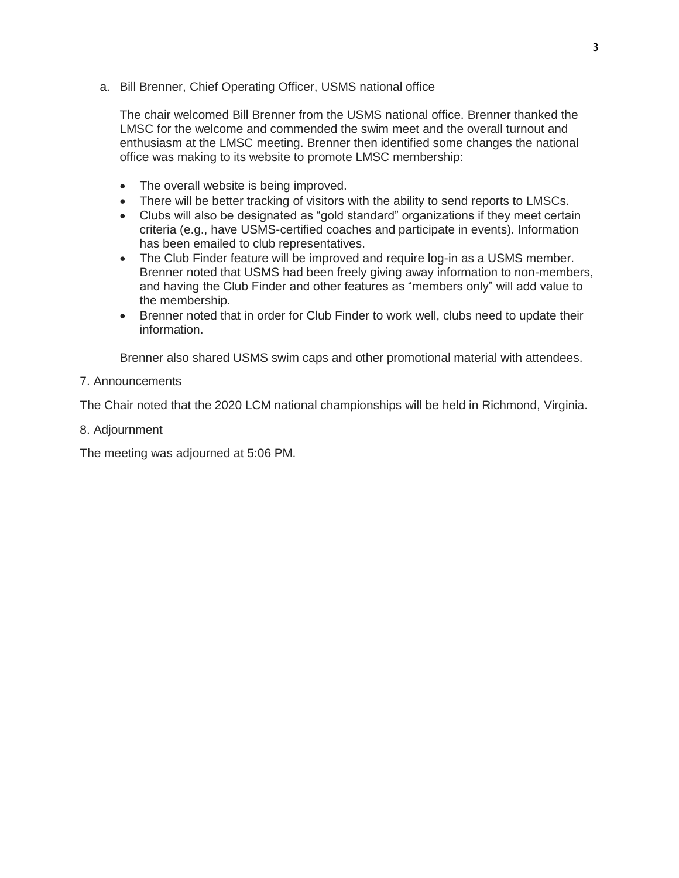a. Bill Brenner, Chief Operating Officer, USMS national office

The chair welcomed Bill Brenner from the USMS national office. Brenner thanked the LMSC for the welcome and commended the swim meet and the overall turnout and enthusiasm at the LMSC meeting. Brenner then identified some changes the national office was making to its website to promote LMSC membership:

- The overall website is being improved.
- There will be better tracking of visitors with the ability to send reports to LMSCs.
- Clubs will also be designated as "gold standard" organizations if they meet certain criteria (e.g., have USMS-certified coaches and participate in events). Information has been emailed to club representatives.
- The Club Finder feature will be improved and require log-in as a USMS member. Brenner noted that USMS had been freely giving away information to non-members, and having the Club Finder and other features as "members only" will add value to the membership.
- Brenner noted that in order for Club Finder to work well, clubs need to update their information.

Brenner also shared USMS swim caps and other promotional material with attendees.

## 7. Announcements

The Chair noted that the 2020 LCM national championships will be held in Richmond, Virginia.

8. Adjournment

The meeting was adjourned at 5:06 PM.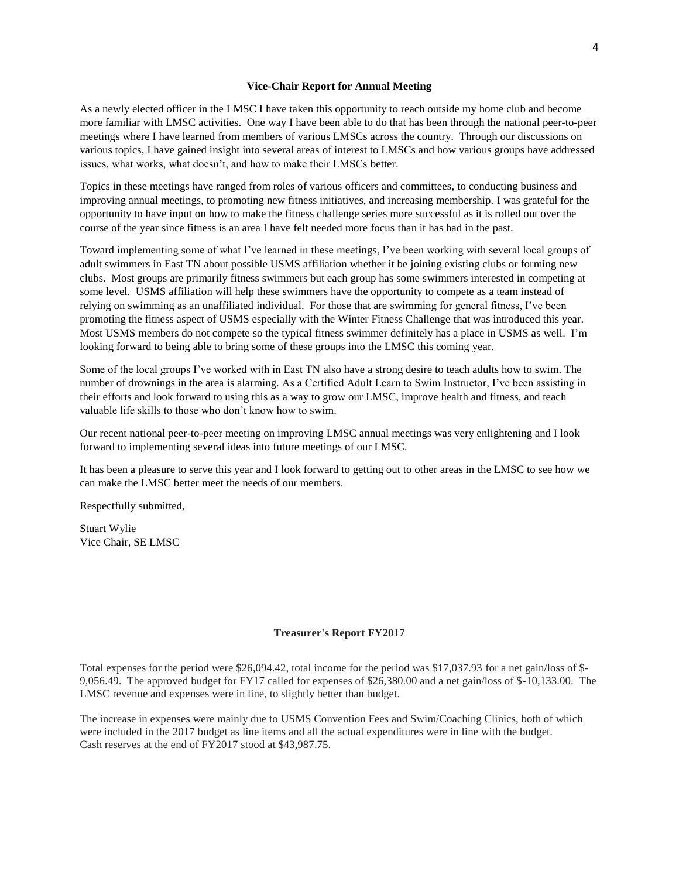#### **Vice-Chair Report for Annual Meeting**

As a newly elected officer in the LMSC I have taken this opportunity to reach outside my home club and become more familiar with LMSC activities. One way I have been able to do that has been through the national peer-to-peer meetings where I have learned from members of various LMSCs across the country. Through our discussions on various topics, I have gained insight into several areas of interest to LMSCs and how various groups have addressed issues, what works, what doesn't, and how to make their LMSCs better.

Topics in these meetings have ranged from roles of various officers and committees, to conducting business and improving annual meetings, to promoting new fitness initiatives, and increasing membership. I was grateful for the opportunity to have input on how to make the fitness challenge series more successful as it is rolled out over the course of the year since fitness is an area I have felt needed more focus than it has had in the past.

Toward implementing some of what I've learned in these meetings, I've been working with several local groups of adult swimmers in East TN about possible USMS affiliation whether it be joining existing clubs or forming new clubs. Most groups are primarily fitness swimmers but each group has some swimmers interested in competing at some level. USMS affiliation will help these swimmers have the opportunity to compete as a team instead of relying on swimming as an unaffiliated individual. For those that are swimming for general fitness, I've been promoting the fitness aspect of USMS especially with the Winter Fitness Challenge that was introduced this year. Most USMS members do not compete so the typical fitness swimmer definitely has a place in USMS as well. I'm looking forward to being able to bring some of these groups into the LMSC this coming year.

Some of the local groups I've worked with in East TN also have a strong desire to teach adults how to swim. The number of drownings in the area is alarming. As a Certified Adult Learn to Swim Instructor, I've been assisting in their efforts and look forward to using this as a way to grow our LMSC, improve health and fitness, and teach valuable life skills to those who don't know how to swim.

Our recent national peer-to-peer meeting on improving LMSC annual meetings was very enlightening and I look forward to implementing several ideas into future meetings of our LMSC.

It has been a pleasure to serve this year and I look forward to getting out to other areas in the LMSC to see how we can make the LMSC better meet the needs of our members.

Respectfully submitted,

Stuart Wylie Vice Chair, SE LMSC

#### **Treasurer's Report FY2017**

Total expenses for the period were \$26,094.42, total income for the period was \$17,037.93 for a net gain/loss of \$- 9,056.49. The approved budget for FY17 called for expenses of \$26,380.00 and a net gain/loss of \$-10,133.00. The LMSC revenue and expenses were in line, to slightly better than budget.

The increase in expenses were mainly due to USMS Convention Fees and Swim/Coaching Clinics, both of which were included in the 2017 budget as line items and all the actual expenditures were in line with the budget. Cash reserves at the end of FY2017 stood at \$43,987.75.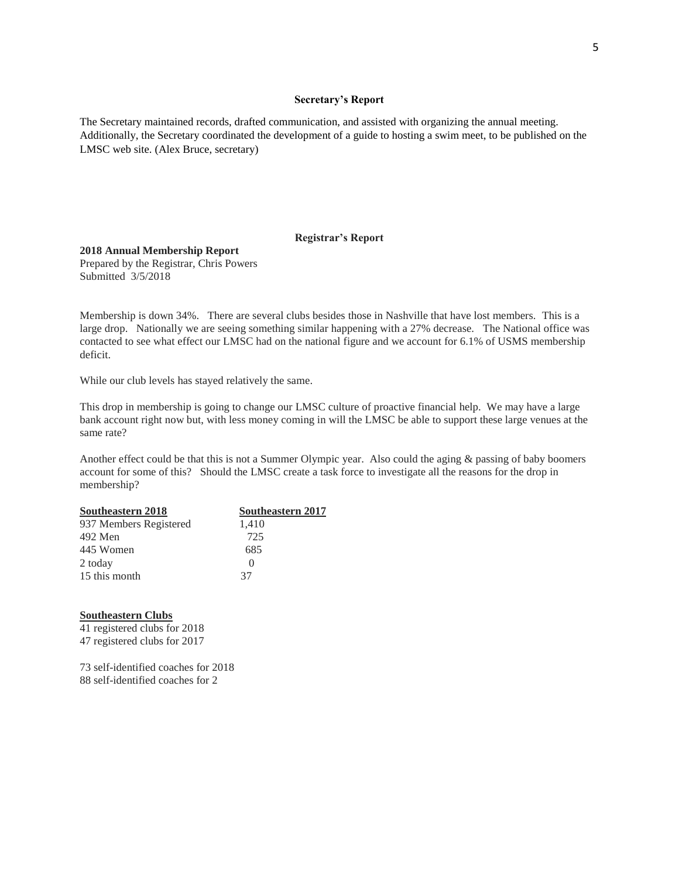#### **Secretary's Report**

The Secretary maintained records, drafted communication, and assisted with organizing the annual meeting. Additionally, the Secretary coordinated the development of a guide to hosting a swim meet, to be published on the LMSC web site. (Alex Bruce, secretary)

### **Registrar's Report**

#### **2018 Annual Membership Report**

Prepared by the Registrar, Chris Powers Submitted 3/5/2018

Membership is down 34%. There are several clubs besides those in Nashville that have lost members. This is a large drop. Nationally we are seeing something similar happening with a 27% decrease. The National office was contacted to see what effect our LMSC had on the national figure and we account for 6.1% of USMS membership deficit.

While our club levels has stayed relatively the same.

This drop in membership is going to change our LMSC culture of proactive financial help. We may have a large bank account right now but, with less money coming in will the LMSC be able to support these large venues at the same rate?

Another effect could be that this is not a Summer Olympic year. Also could the aging & passing of baby boomers account for some of this? Should the LMSC create a task force to investigate all the reasons for the drop in membership?

| Southeastern 2018      | <b>Southeastern 2017</b> |
|------------------------|--------------------------|
| 937 Members Registered | 1,410                    |
| 492 Men                | 725                      |
| 445 Women              | 685                      |
| 2 today                | $\Omega$                 |
| 15 this month          | 37                       |

### **Southeastern Clubs**

41 registered clubs for 2018 47 registered clubs for 2017

73 self-identified coaches for 2018 88 self-identified coaches for 2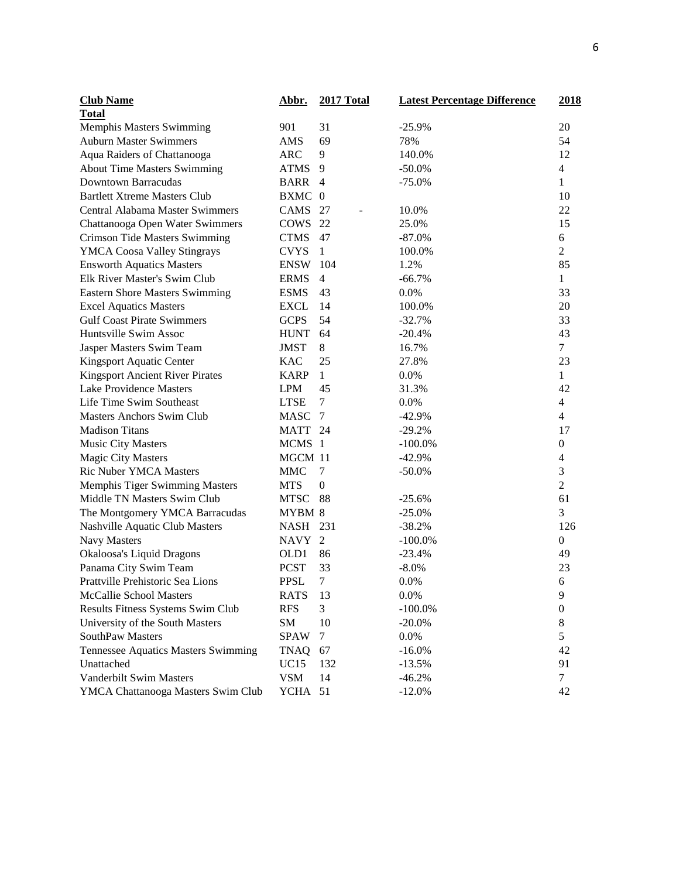| <b>Club Name</b>                       | <u>Abbr.</u> | <b>2017 Total</b> | <b>Latest Percentage Difference</b> | <u>2018</u>              |
|----------------------------------------|--------------|-------------------|-------------------------------------|--------------------------|
| <b>Total</b>                           |              |                   |                                     |                          |
| Memphis Masters Swimming               | 901          | 31                | $-25.9%$                            | 20                       |
| <b>Auburn Master Swimmers</b>          | AMS          | 69                | 78%                                 | 54                       |
| Aqua Raiders of Chattanooga            | <b>ARC</b>   | 9                 | 140.0%                              | 12                       |
| <b>About Time Masters Swimming</b>     | <b>ATMS</b>  | 9                 | $-50.0\%$                           | $\overline{\mathcal{L}}$ |
| <b>Downtown Barracudas</b>             | BARR 4       |                   | $-75.0%$                            | $\mathbf{1}$             |
| <b>Bartlett Xtreme Masters Club</b>    | <b>BXMC</b>  | $\overline{0}$    |                                     | 10                       |
| Central Alabama Master Swimmers        | CAMS         | 27                | 10.0%                               | 22                       |
| Chattanooga Open Water Swimmers        | <b>COWS</b>  | 22                | 25.0%                               | 15                       |
| <b>Crimson Tide Masters Swimming</b>   | <b>CTMS</b>  | 47                | $-87.0%$                            | 6                        |
| <b>YMCA Coosa Valley Stingrays</b>     | <b>CVYS</b>  | $\mathbf{1}$      | 100.0%                              | $\overline{2}$           |
| <b>Ensworth Aquatics Masters</b>       | <b>ENSW</b>  | 104               | 1.2%                                | 85                       |
| Elk River Master's Swim Club           | <b>ERMS</b>  | $\overline{4}$    | $-66.7%$                            | $\mathbf{1}$             |
| Eastern Shore Masters Swimming         | <b>ESMS</b>  | 43                | 0.0%                                | 33                       |
| <b>Excel Aquatics Masters</b>          | <b>EXCL</b>  | 14                | 100.0%                              | 20                       |
| <b>Gulf Coast Pirate Swimmers</b>      | <b>GCPS</b>  | 54                | $-32.7%$                            | 33                       |
| Huntsville Swim Assoc                  | <b>HUNT</b>  | 64                | $-20.4%$                            | 43                       |
| Jasper Masters Swim Team               | <b>JMST</b>  | 8                 | 16.7%                               | $\overline{7}$           |
| Kingsport Aquatic Center               | <b>KAC</b>   | 25                | 27.8%                               | 23                       |
| <b>Kingsport Ancient River Pirates</b> | <b>KARP</b>  | $\mathbf{1}$      | 0.0%                                | $\mathbf{1}$             |
| <b>Lake Providence Masters</b>         | <b>LPM</b>   | 45                | 31.3%                               | 42                       |
| Life Time Swim Southeast               | <b>LTSE</b>  | $\tau$            | 0.0%                                | $\overline{4}$           |
| <b>Masters Anchors Swim Club</b>       | <b>MASC</b>  | $\tau$            | $-42.9%$                            | $\overline{4}$           |
| <b>Madison Titans</b>                  | MATT 24      |                   | $-29.2%$                            | 17                       |
| <b>Music City Masters</b>              | MCMS 1       |                   | $-100.0\%$                          | $\boldsymbol{0}$         |
| <b>Magic City Masters</b>              | MGCM 11      |                   | $-42.9%$                            | $\overline{4}$           |
| Ric Nuber YMCA Masters                 | <b>MMC</b>   | 7                 | $-50.0\%$                           | 3                        |
| Memphis Tiger Swimming Masters         | <b>MTS</b>   | $\boldsymbol{0}$  |                                     | $\overline{2}$           |
| Middle TN Masters Swim Club            | <b>MTSC</b>  | 88                | $-25.6%$                            | 61                       |
| The Montgomery YMCA Barracudas         | MYBM 8       |                   | $-25.0%$                            | 3                        |
| Nashville Aquatic Club Masters         | NASH         | 231               | $-38.2%$                            | 126                      |
| <b>Navy Masters</b>                    | NAVY 2       |                   | $-100.0\%$                          | $\boldsymbol{0}$         |
| Okaloosa's Liquid Dragons              | OLD1         | 86                | $-23.4%$                            | 49                       |
| Panama City Swim Team                  | <b>PCST</b>  | 33                | $-8.0%$                             | 23                       |
| Prattville Prehistoric Sea Lions       | <b>PPSL</b>  | $\tau$            | 0.0%                                | 6                        |
| McCallie School Masters                | <b>RATS</b>  | 13                | 0.0%                                | 9                        |
| Results Fitness Systems Swim Club      | <b>RFS</b>   | 3                 | $-100.0\%$                          | $\boldsymbol{0}$         |
| University of the South Masters        | SM           | 10                | $-20.0%$                            | 8                        |
| SouthPaw Masters                       | <b>SPAW</b>  | 7                 | 0.0%                                | 5                        |
| Tennessee Aquatics Masters Swimming    | TNAQ         | 67                | $-16.0%$                            | 42                       |
| Unattached                             | <b>UC15</b>  | 132               | $-13.5%$                            | 91                       |
| <b>Vanderbilt Swim Masters</b>         | <b>VSM</b>   | 14                | $-46.2%$                            | $\tau$                   |
| YMCA Chattanooga Masters Swim Club     | YCHA 51      |                   | $-12.0%$                            | 42                       |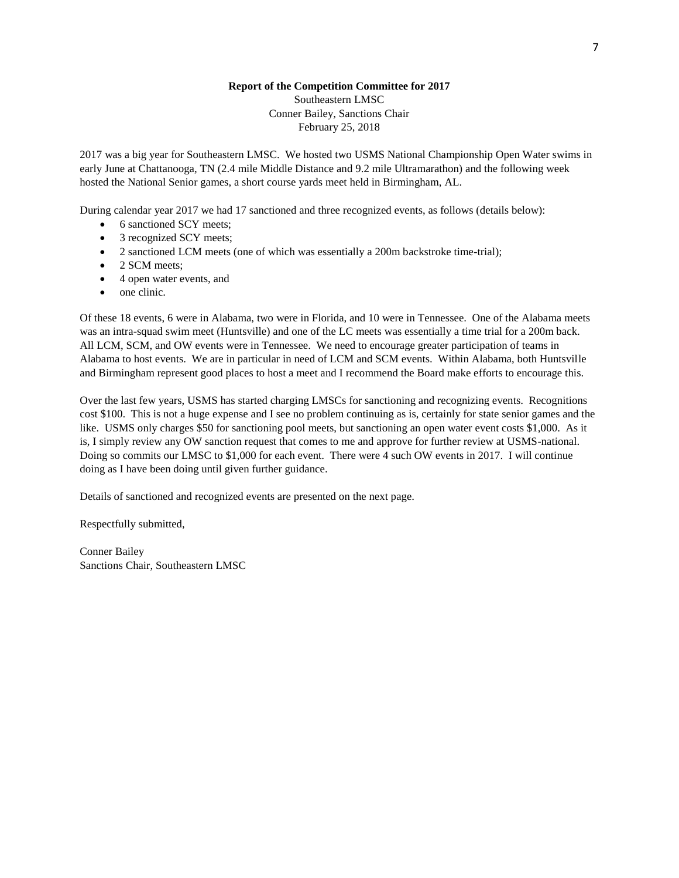### **Report of the Competition Committee for 2017**

Southeastern LMSC Conner Bailey, Sanctions Chair February 25, 2018

2017 was a big year for Southeastern LMSC. We hosted two USMS National Championship Open Water swims in early June at Chattanooga, TN (2.4 mile Middle Distance and 9.2 mile Ultramarathon) and the following week hosted the National Senior games, a short course yards meet held in Birmingham, AL.

During calendar year 2017 we had 17 sanctioned and three recognized events, as follows (details below):

- 6 sanctioned SCY meets;
- 3 recognized SCY meets;
- 2 sanctioned LCM meets (one of which was essentially a 200m backstroke time-trial);
- 2 SCM meets;
- 4 open water events, and
- one clinic.

Of these 18 events, 6 were in Alabama, two were in Florida, and 10 were in Tennessee. One of the Alabama meets was an intra-squad swim meet (Huntsville) and one of the LC meets was essentially a time trial for a 200m back. All LCM, SCM, and OW events were in Tennessee. We need to encourage greater participation of teams in Alabama to host events. We are in particular in need of LCM and SCM events. Within Alabama, both Huntsville and Birmingham represent good places to host a meet and I recommend the Board make efforts to encourage this.

Over the last few years, USMS has started charging LMSCs for sanctioning and recognizing events. Recognitions cost \$100. This is not a huge expense and I see no problem continuing as is, certainly for state senior games and the like. USMS only charges \$50 for sanctioning pool meets, but sanctioning an open water event costs \$1,000. As it is, I simply review any OW sanction request that comes to me and approve for further review at USMS-national. Doing so commits our LMSC to \$1,000 for each event. There were 4 such OW events in 2017. I will continue doing as I have been doing until given further guidance.

Details of sanctioned and recognized events are presented on the next page.

Respectfully submitted,

Conner Bailey Sanctions Chair, Southeastern LMSC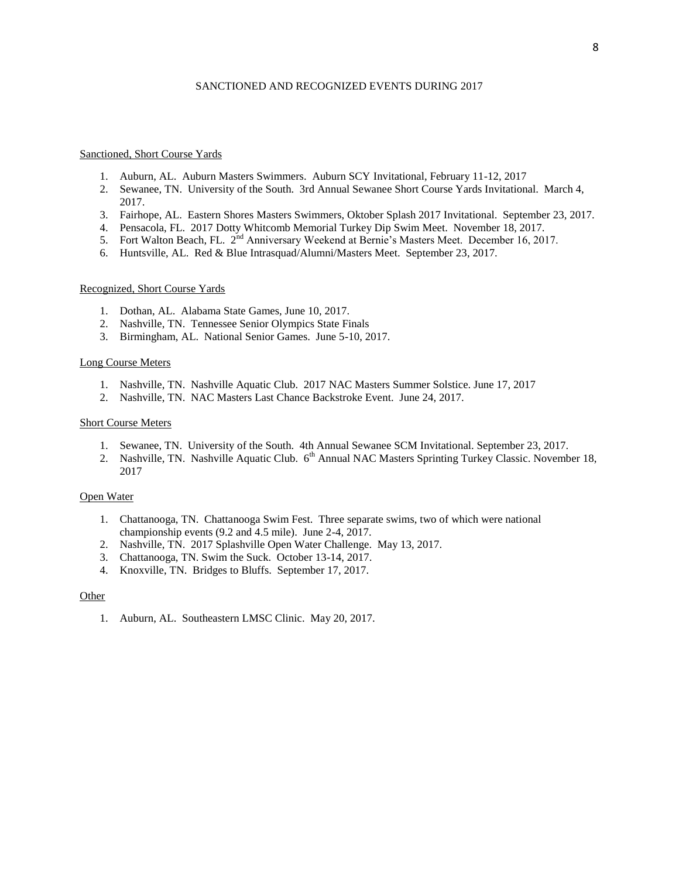### SANCTIONED AND RECOGNIZED EVENTS DURING 2017

#### Sanctioned, Short Course Yards

- 1. Auburn, AL. Auburn Masters Swimmers. Auburn SCY Invitational, February 11-12, 2017
- 2. Sewanee, TN. University of the South. 3rd Annual Sewanee Short Course Yards Invitational. March 4, 2017.
- 3. Fairhope, AL. Eastern Shores Masters Swimmers, Oktober Splash 2017 Invitational. September 23, 2017.
- 4. Pensacola, FL. 2017 Dotty Whitcomb Memorial Turkey Dip Swim Meet. November 18, 2017.
- 5. Fort Walton Beach, FL. 2nd Anniversary Weekend at Bernie's Masters Meet. December 16, 2017.
- 6. Huntsville, AL. Red & Blue Intrasquad/Alumni/Masters Meet. September 23, 2017.

### Recognized, Short Course Yards

- 1. Dothan, AL. Alabama State Games, June 10, 2017.
- 2. Nashville, TN. Tennessee Senior Olympics State Finals
- 3. Birmingham, AL. National Senior Games. June 5-10, 2017.

#### Long Course Meters

- 1. Nashville, TN. Nashville Aquatic Club. 2017 NAC Masters Summer Solstice. June 17, 2017
- 2. Nashville, TN. NAC Masters Last Chance Backstroke Event. June 24, 2017.

#### Short Course Meters

- 1. Sewanee, TN. University of the South. 4th Annual Sewanee SCM Invitational. September 23, 2017.
- 2. Nashville, TN. Nashville Aquatic Club. 6<sup>th</sup> Annual NAC Masters Sprinting Turkey Classic. November 18, 2017

#### Open Water

- 1. Chattanooga, TN. Chattanooga Swim Fest. Three separate swims, two of which were national championship events (9.2 and 4.5 mile). June 2-4, 2017.
- 2. Nashville, TN. 2017 Splashville Open Water Challenge. May 13, 2017.
- 3. Chattanooga, TN. Swim the Suck. October 13-14, 2017.
- 4. Knoxville, TN. Bridges to Bluffs. September 17, 2017.

#### Other

1. Auburn, AL. Southeastern LMSC Clinic. May 20, 2017.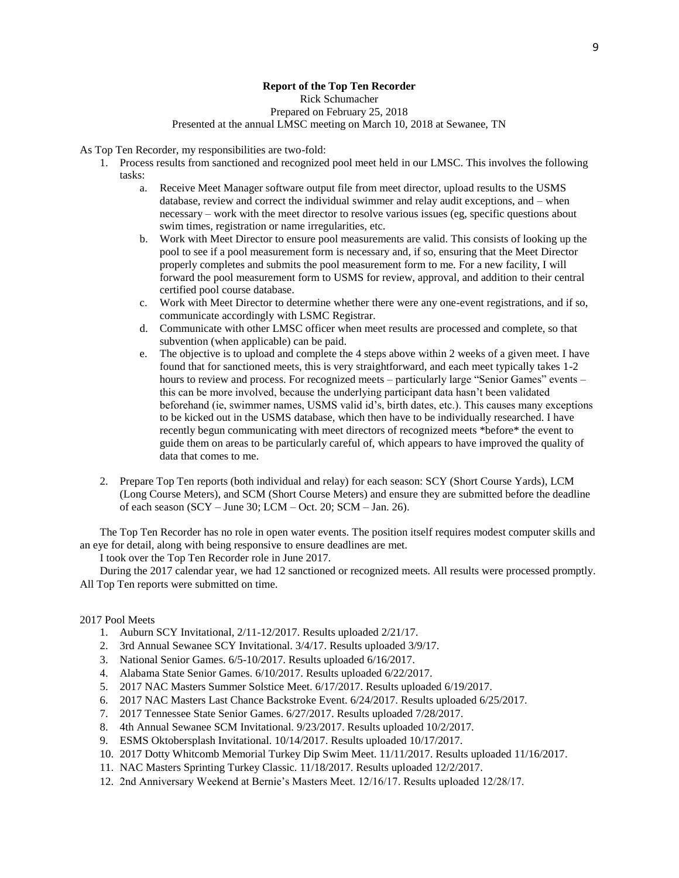### **Report of the Top Ten Recorder**

Rick Schumacher

Prepared on February 25, 2018

#### Presented at the annual LMSC meeting on March 10, 2018 at Sewanee, TN

As Top Ten Recorder, my responsibilities are two-fold:

- 1. Process results from sanctioned and recognized pool meet held in our LMSC. This involves the following tasks:
	- a. Receive Meet Manager software output file from meet director, upload results to the USMS database, review and correct the individual swimmer and relay audit exceptions, and – when necessary – work with the meet director to resolve various issues (eg, specific questions about swim times, registration or name irregularities, etc.
	- b. Work with Meet Director to ensure pool measurements are valid. This consists of looking up the pool to see if a pool measurement form is necessary and, if so, ensuring that the Meet Director properly completes and submits the pool measurement form to me. For a new facility, I will forward the pool measurement form to USMS for review, approval, and addition to their central certified pool course database.
	- c. Work with Meet Director to determine whether there were any one-event registrations, and if so, communicate accordingly with LSMC Registrar.
	- d. Communicate with other LMSC officer when meet results are processed and complete, so that subvention (when applicable) can be paid.
	- e. The objective is to upload and complete the 4 steps above within 2 weeks of a given meet. I have found that for sanctioned meets, this is very straightforward, and each meet typically takes 1-2 hours to review and process. For recognized meets – particularly large "Senior Games" events – this can be more involved, because the underlying participant data hasn't been validated beforehand (ie, swimmer names, USMS valid id's, birth dates, etc.). This causes many exceptions to be kicked out in the USMS database, which then have to be individually researched. I have recently begun communicating with meet directors of recognized meets \*before\* the event to guide them on areas to be particularly careful of, which appears to have improved the quality of data that comes to me.
- 2. Prepare Top Ten reports (both individual and relay) for each season: SCY (Short Course Yards), LCM (Long Course Meters), and SCM (Short Course Meters) and ensure they are submitted before the deadline of each season (SCY – June 30; LCM – Oct. 20; SCM – Jan. 26).

The Top Ten Recorder has no role in open water events. The position itself requires modest computer skills and an eye for detail, along with being responsive to ensure deadlines are met.

I took over the Top Ten Recorder role in June 2017.

During the 2017 calendar year, we had 12 sanctioned or recognized meets. All results were processed promptly. All Top Ten reports were submitted on time.

#### 2017 Pool Meets

- 1. Auburn SCY Invitational, 2/11-12/2017. Results uploaded 2/21/17.
- 2. 3rd Annual Sewanee SCY Invitational. 3/4/17. Results uploaded 3/9/17.
- 3. National Senior Games. 6/5-10/2017. Results uploaded 6/16/2017.
- 4. Alabama State Senior Games. 6/10/2017. Results uploaded 6/22/2017.
- 5. 2017 NAC Masters Summer Solstice Meet. 6/17/2017. Results uploaded 6/19/2017.
- 6. 2017 NAC Masters Last Chance Backstroke Event. 6/24/2017. Results uploaded 6/25/2017.
- 7. 2017 Tennessee State Senior Games. 6/27/2017. Results uploaded 7/28/2017.
- 8. 4th Annual Sewanee SCM Invitational. 9/23/2017. Results uploaded 10/2/2017.
- 9. ESMS Oktobersplash Invitational. 10/14/2017. Results uploaded 10/17/2017.
- 10. 2017 Dotty Whitcomb Memorial Turkey Dip Swim Meet. 11/11/2017. Results uploaded 11/16/2017.
- 11. NAC Masters Sprinting Turkey Classic. 11/18/2017. Results uploaded 12/2/2017.
- 12. 2nd Anniversary Weekend at Bernie's Masters Meet. 12/16/17. Results uploaded 12/28/17.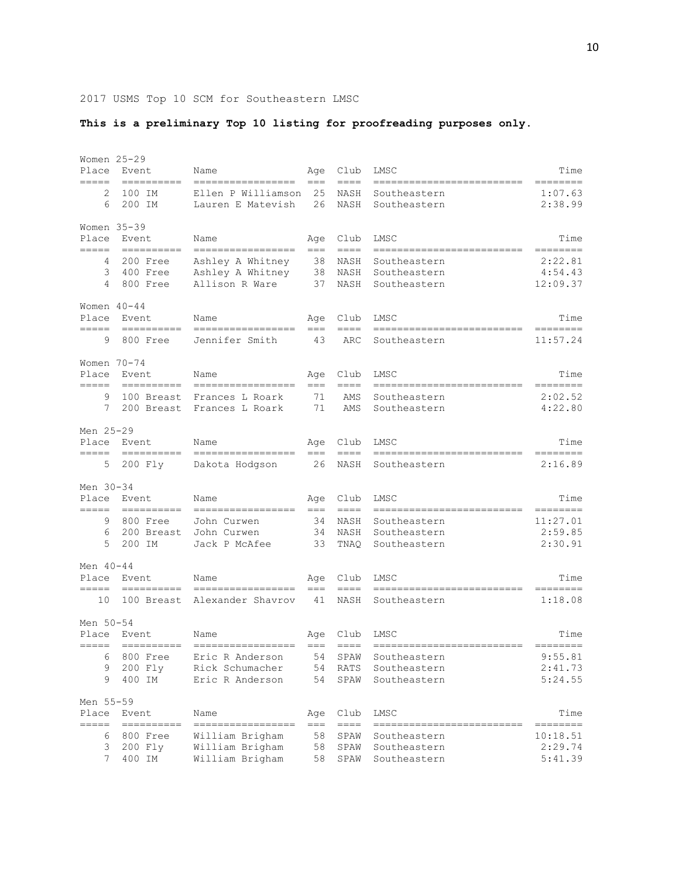2017 USMS Top 10 SCM for Southeastern LMSC

## **This is a preliminary Top 10 listing for proofreading purposes only.**

| Place<br>=====              | Women 25-29<br>Event<br>==========                                                                                                                                                                                                                                                                                                                                                                                                                                                                                                                                        | Name<br>=================                                                  | Age<br>$===$             | Club<br>$==-=$                    | LMSC                                                                        | Time<br>========                           |
|-----------------------------|---------------------------------------------------------------------------------------------------------------------------------------------------------------------------------------------------------------------------------------------------------------------------------------------------------------------------------------------------------------------------------------------------------------------------------------------------------------------------------------------------------------------------------------------------------------------------|----------------------------------------------------------------------------|--------------------------|-----------------------------------|-----------------------------------------------------------------------------|--------------------------------------------|
| 2<br>6                      | 100 IM<br>200 IM                                                                                                                                                                                                                                                                                                                                                                                                                                                                                                                                                          | Ellen P Williamson<br>Lauren E Matevish                                    | 25<br>26                 | NASH<br>NASH                      | Southeastern<br>Southeastern                                                | 1:07.63<br>2:38.99                         |
| Place<br>=====              | Women $35-39$<br>Event<br>$\begin{tabular}{ll} \multicolumn{3}{l}{{\color{red}\textbf{1}}}\\ \multicolumn{3}{l}{\color{blue}\textbf{2}}\\ \multicolumn{3}{l}{\color{blue}\textbf{2}}\\ \multicolumn{3}{l}{\color{blue}\textbf{3}}\\ \multicolumn{3}{l}{\color{blue}\textbf{4}}\\ \multicolumn{3}{l}{\color{blue}\textbf{4}}\\ \multicolumn{3}{l}{\color{blue}\textbf{5}}\\ \multicolumn{3}{l}{\color{blue}\textbf{5}}\\ \multicolumn{3}{l}{\color{blue}\textbf{6}}\\ \multicolumn{3}{l}{\color{blue}\textbf{6}}\\ \multicolumn{3}{l}{\color$                              | Name<br>=================                                                  | Age<br>$== =$            | Club<br>$\qquad \qquad == =$      | LMSC<br>==========================                                          | Time<br>========                           |
| 4<br>3<br>4                 | 200 Free<br>400 Free<br>800 Free                                                                                                                                                                                                                                                                                                                                                                                                                                                                                                                                          | Ashley A Whitney<br>Ashley A Whitney<br>Allison R Ware                     | 38<br>38<br>37           | NASH<br>NASH<br>NASH              | Southeastern<br>Southeastern<br>Southeastern                                | 2:22.81<br>4:54.43<br>12:09.37             |
| Place<br>=====              | Women $40 - 44$<br>Event                                                                                                                                                                                                                                                                                                                                                                                                                                                                                                                                                  | Name<br>-----------------                                                  | Age<br>$===$             | Club<br>$==-=$                    | LMSC                                                                        | Time<br>========                           |
| 9                           | 800 Free                                                                                                                                                                                                                                                                                                                                                                                                                                                                                                                                                                  | Jennifer Smith                                                             | 43                       | ARC                               | Southeastern                                                                | 11:57.24                                   |
| Place<br>=====<br>9<br>7    | Women $70 - 74$<br>Event<br>$\begin{array}{cccccccccc} \multicolumn{2}{c}{} & \multicolumn{2}{c}{} & \multicolumn{2}{c}{} & \multicolumn{2}{c}{} & \multicolumn{2}{c}{} & \multicolumn{2}{c}{} & \multicolumn{2}{c}{} & \multicolumn{2}{c}{} & \multicolumn{2}{c}{} & \multicolumn{2}{c}{} & \multicolumn{2}{c}{} & \multicolumn{2}{c}{} & \multicolumn{2}{c}{} & \multicolumn{2}{c}{} & \multicolumn{2}{c}{} & \multicolumn{2}{c}{} & \multicolumn{2}{c}{} & \multicolumn{2}{c}{} & \multicolumn{2}{c}{} & \mult$<br>100 Breast<br>200 Breast                            | Name<br>==================<br>Frances L Roark<br>Frances L Roark           | Age<br>$==$<br>71<br>71  | Club<br>$====$<br>AMS<br>AMS      | LMSC<br>--------------<br>Southeastern<br>Southeastern                      | Time<br>========<br>2:02.52<br>4:22.80     |
| Men 25-29<br>$=====$        | Place Event<br>$\begin{tabular}{ll} \multicolumn{3}{l}{{\color{red}\boldsymbol{=}}} & \multicolumn{3}{l}{\color{blue}\boldsymbol{=}} & \multicolumn{3}{l}{\color{blue}\boldsymbol{=}} & \multicolumn{3}{l}{\color{blue}\boldsymbol{=}} & \multicolumn{3}{l}{\color{blue}\boldsymbol{=}} & \multicolumn{3}{l}{\color{blue}\boldsymbol{=}} & \multicolumn{3}{l}{\color{blue}\boldsymbol{=}} & \multicolumn{3}{l}{\color{blue}\boldsymbol{=}} & \multicolumn{3}{l}{\color{blue}\boldsymbol{=}} & \multicolumn{3}{l}{\color{blue}\boldsymbol{=}} & \multicolumn{3}{l}{\color$ | Name<br>=================                                                  | Age<br>$==$              | Club<br>$==-=$                    | LMSC<br>--------------------------                                          | Time<br>--------                           |
| 5                           | 200 Fly                                                                                                                                                                                                                                                                                                                                                                                                                                                                                                                                                                   | Dakota Hodgson                                                             | 26                       | NASH                              | Southeastern                                                                | 2:16.89                                    |
| Men 30-34<br>Place<br>===== | Event<br>$=$ =========                                                                                                                                                                                                                                                                                                                                                                                                                                                                                                                                                    | Name<br>-----------------                                                  | Age<br>$== =$            | Club<br>$==-=$                    | LMSC<br>--------------------------                                          | Time<br>========                           |
| 9<br>6<br>5                 | 800 Free<br>200 Breast<br>200 IM                                                                                                                                                                                                                                                                                                                                                                                                                                                                                                                                          | John Curwen<br>John Curwen<br>Jack P McAfee                                | 34<br>34<br>33           | NASH<br>NASH<br>TNAQ              | Southeastern<br>Southeastern<br>Southeastern                                | 11:27.01<br>2:59.85<br>2:30.91             |
| Men 40-44<br>Place          | Event                                                                                                                                                                                                                                                                                                                                                                                                                                                                                                                                                                     | Name                                                                       | Age                      | Club                              | LMSC                                                                        | Time                                       |
| =====<br>10                 | $\begin{tabular}{ll} \multicolumn{3}{l}{} & \multicolumn{3}{l}{} & \multicolumn{3}{l}{} \\ \multicolumn{3}{l}{} & \multicolumn{3}{l}{} & \multicolumn{3}{l}{} \\ \multicolumn{3}{l}{} & \multicolumn{3}{l}{} & \multicolumn{3}{l}{} \\ \multicolumn{3}{l}{} & \multicolumn{3}{l}{} & \multicolumn{3}{l}{} \\ \multicolumn{3}{l}{} & \multicolumn{3}{l}{} & \multicolumn{3}{l}{} \\ \multicolumn{3}{l}{} & \multicolumn{3}{l}{} & \multicolumn{3}{l}{} \\ \multicolumn{3}{l}{} & \multic$<br>100 Breast                                                                    | -----------------<br>Alexander Shavrov                                     | $== =$<br>41             | $==-=$<br>NASH                    | =========================<br>Southeastern                                   | ========<br>1:18.08                        |
| Men 50-54                   | Place Event                                                                                                                                                                                                                                                                                                                                                                                                                                                                                                                                                               | Name                                                                       | Age                      | Club                              | LMSC                                                                        | Time                                       |
| =====<br>6<br>9<br>9        | ==========<br>800 Free<br>200 Fly<br>400 IM                                                                                                                                                                                                                                                                                                                                                                                                                                                                                                                               | $=$ =============<br>Eric R Anderson<br>Rick Schumacher<br>Eric R Anderson | $== =$<br>54<br>54<br>54 | $== == =$<br>SPAW<br>RATS<br>SPAW | ===========================<br>Southeastern<br>Southeastern<br>Southeastern | 9:55.81<br>2:41.73<br>5:24.55              |
| Men 55-59<br>Place          | Event                                                                                                                                                                                                                                                                                                                                                                                                                                                                                                                                                                     | Name                                                                       | Age                      | Club                              | LMSC                                                                        | Time                                       |
| =====<br>6<br>3<br>7        | ----------<br>800 Free<br>200 Fly<br>400 IM                                                                                                                                                                                                                                                                                                                                                                                                                                                                                                                               | ------------<br>William Brigham<br>William Brigham<br>William Brigham      | $== =$<br>58<br>58<br>58 | $== == =$<br>SPAW<br>SPAW<br>SPAW | ---------<br>==============<br>Southeastern<br>Southeastern<br>Southeastern | ========<br>10:18.51<br>2:29.74<br>5:41.39 |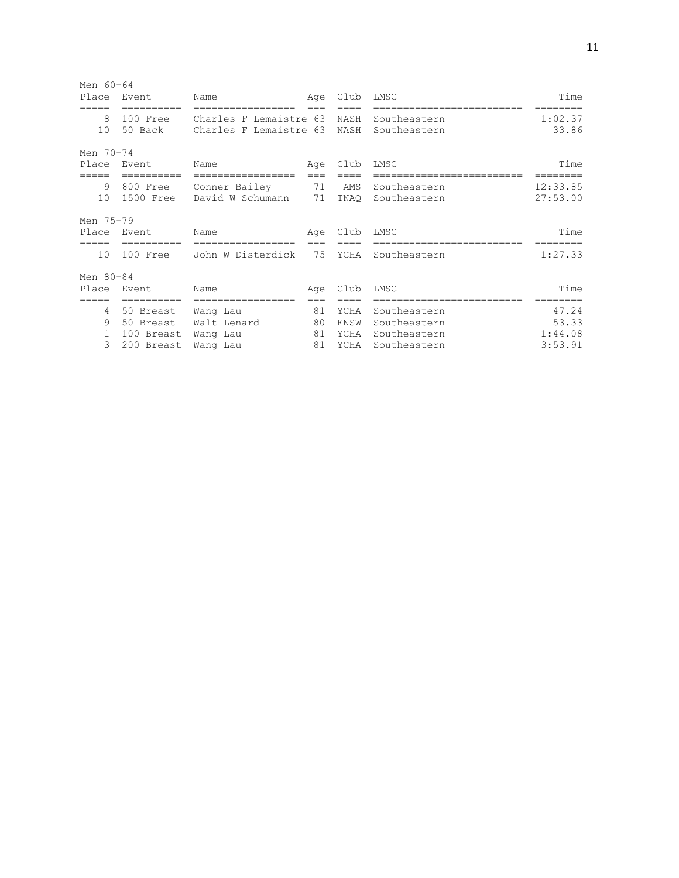| Men 60-64  |            |                        |       |      |                      |          |
|------------|------------|------------------------|-------|------|----------------------|----------|
| Place      | Event      | Name                   | Age   | Club | LMSC                 | Time     |
|            |            |                        |       |      |                      |          |
| 8          | 100 Free   | Charles F Lemaistre 63 |       | NASH | Southeastern         | 1:02.37  |
| 10         | 50 Back    | Charles F Lemaistre 63 |       | NASH | Southeastern         | 33.86    |
| Men 70-74  |            |                        |       |      |                      |          |
| Place      | Event      | Name                   | Age   | Club | LMSC                 | Time     |
| $:= = = =$ | ========   |                        | $===$ |      |                      |          |
| 9          | 800 Free   | Conner Bailey          | 71    | AMS  | Southeastern         | 12:33.85 |
| 10         | 1500 Free  | David W Schumann       | 71    | TNAQ | Southeastern         | 27:53.00 |
| Men 75-79  |            |                        |       |      |                      |          |
| Place      | Event.     | Name                   | Age   | Club | LMSC                 | Time     |
| =====      | ========== | ==================     | $===$ |      | ==================== |          |
| 10         | 100 Free   | John W Disterdick      | 75    | YCHA | Southeastern         | 1:27.33  |
| Men 80-84  |            |                        |       |      |                      |          |
| Place      | Event      | Name                   | Age   | Club | LMSC                 | Time     |
|            | =========  | ==================     |       |      |                      |          |
| 4          | 50 Breast  | Wang Lau               | 81    | YCHA | Southeastern         | 47.24    |
| 9          | 50 Breast  | Walt Lenard            | 80    | ENSW | Southeastern         | 53.33    |
| 1          | 100 Breast | Wang Lau               | 81    | YCHA | Southeastern         | 1:44.08  |
| 3          | 200 Breast | Wang Lau               | 81    | YCHA | Southeastern         | 3:53.91  |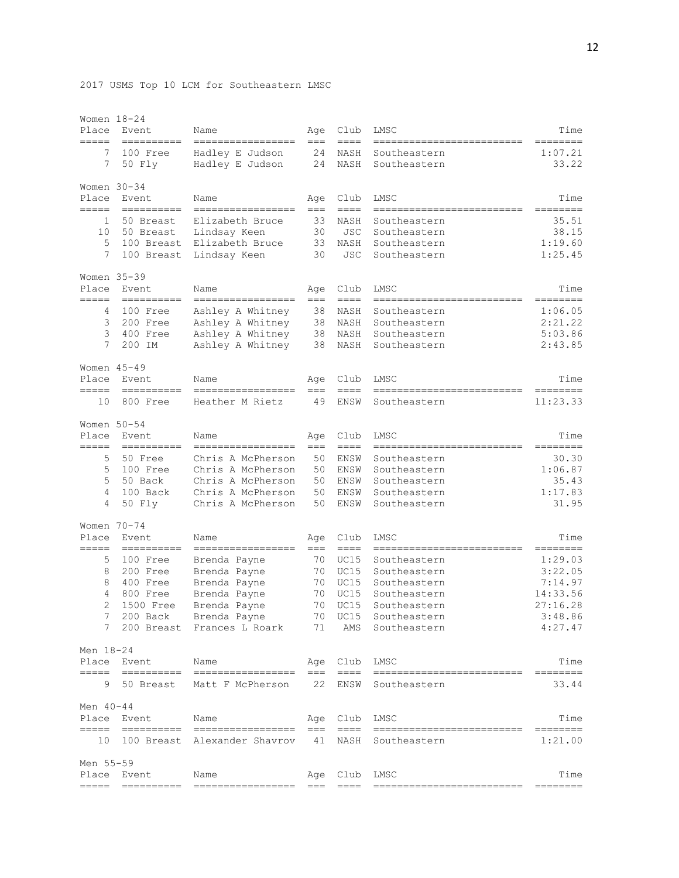| Place<br>=====                | Women 18-24<br>Event<br>========== | Name<br>-----------------                  | Age<br>$===$ | Club<br>$==-=$    | LMSC<br>--------------------------         | Time<br>---------                                                                                                                                                                                                                                                                                                                                                                                                                                                                              |
|-------------------------------|------------------------------------|--------------------------------------------|--------------|-------------------|--------------------------------------------|------------------------------------------------------------------------------------------------------------------------------------------------------------------------------------------------------------------------------------------------------------------------------------------------------------------------------------------------------------------------------------------------------------------------------------------------------------------------------------------------|
| 7<br>7                        | 100 Free<br>50 Fly                 | Hadley E Judson<br>Hadley E Judson         | 24<br>24     | NASH<br>NASH      | Southeastern<br>Southeastern               | 1:07.21<br>33.22                                                                                                                                                                                                                                                                                                                                                                                                                                                                               |
| Women 30-34<br>Place<br>===== | Event<br>----------                | Name<br>--------------                     | Age<br>$==$  | Club<br>$== == =$ | LMSC                                       | Time                                                                                                                                                                                                                                                                                                                                                                                                                                                                                           |
| 1                             | 50 Breast                          | Elizabeth Bruce                            | 33           | NASH              | Southeastern                               | 35.51                                                                                                                                                                                                                                                                                                                                                                                                                                                                                          |
| 10<br>5                       | 50 Breast<br>100 Breast            | Lindsay Keen<br>Elizabeth Bruce            | 30<br>33     | JSC<br>NASH       | Southeastern<br>Southeastern               | 38.15<br>1:19.60                                                                                                                                                                                                                                                                                                                                                                                                                                                                               |
| 7                             | 100 Breast                         | Lindsay Keen                               | 30           | <b>JSC</b>        | Southeastern                               | 1:25.45                                                                                                                                                                                                                                                                                                                                                                                                                                                                                        |
| Women 35-39                   |                                    |                                            |              |                   |                                            |                                                                                                                                                                                                                                                                                                                                                                                                                                                                                                |
| Place<br>=====                | Event<br>==========                | Name<br>-----------------                  | Age<br>$==$  | Club<br>$==-=$    | LMSC<br>--------------                     | Time<br>========                                                                                                                                                                                                                                                                                                                                                                                                                                                                               |
| 4                             | 100 Free                           | Ashley A Whitney                           | 38           | NASH              | Southeastern                               | 1:06.05                                                                                                                                                                                                                                                                                                                                                                                                                                                                                        |
| 3                             | 200 Free                           | Ashley A Whitney                           | 38           | NASH              | Southeastern                               | 2:21.22                                                                                                                                                                                                                                                                                                                                                                                                                                                                                        |
| 3                             | 400 Free                           | Ashley A Whitney                           | 38           | NASH              | Southeastern                               | 5:03.86                                                                                                                                                                                                                                                                                                                                                                                                                                                                                        |
| 7                             | 200 IM                             | Ashley A Whitney                           | 38           | NASH              | Southeastern                               | 2:43.85                                                                                                                                                                                                                                                                                                                                                                                                                                                                                        |
| Women 45-49<br>Place          | Event                              | Name                                       | Age          | Club              | LMSC                                       | Time                                                                                                                                                                                                                                                                                                                                                                                                                                                                                           |
| $=====$<br>10                 | ----------<br>800 Free             | -----------------<br>Heather M Rietz       | $===$<br>49  | $==-=$<br>ENSW    | --------------------------<br>Southeastern | ========<br>11:23.33                                                                                                                                                                                                                                                                                                                                                                                                                                                                           |
| Women 50-54                   |                                    |                                            |              |                   |                                            |                                                                                                                                                                                                                                                                                                                                                                                                                                                                                                |
| Place<br>=====                | Event<br>----------                | Name<br>-----------------                  | Age<br>$===$ | Club<br>$==-=$    | LMSC<br>--------------                     | Time<br>========                                                                                                                                                                                                                                                                                                                                                                                                                                                                               |
| 5                             | 50 Free                            | Chris A McPherson                          | 50           | ENSW              | Southeastern                               | 30.30                                                                                                                                                                                                                                                                                                                                                                                                                                                                                          |
| 5                             | 100 Free                           | Chris A McPherson                          | 50           | ENSW              | Southeastern                               | 1:06.87                                                                                                                                                                                                                                                                                                                                                                                                                                                                                        |
| 5                             | 50 Back                            | Chris A McPherson                          | 50           | ENSW              | Southeastern                               | 35.43                                                                                                                                                                                                                                                                                                                                                                                                                                                                                          |
| 4                             | 100 Back                           | Chris A McPherson                          | 50           | ENSW              | Southeastern                               | 1:17.83                                                                                                                                                                                                                                                                                                                                                                                                                                                                                        |
| 4                             | 50 Fly                             | Chris A McPherson                          | 50           | ENSW              | Southeastern                               | 31.95                                                                                                                                                                                                                                                                                                                                                                                                                                                                                          |
| Women 70-74<br>Place          | Event                              | Name                                       | Age          | Club              | LMSC                                       | Time                                                                                                                                                                                                                                                                                                                                                                                                                                                                                           |
| =====<br>5                    | 100 Free                           | -----------------<br>Brenda Payne          | $==$<br>70   | $== == =$<br>UC15 | ============<br>Southeastern               | ========<br>1:29.03                                                                                                                                                                                                                                                                                                                                                                                                                                                                            |
| 8                             | 200 Free                           | Brenda Payne                               | 70           | UC15              | Southeastern                               | 3:22.05                                                                                                                                                                                                                                                                                                                                                                                                                                                                                        |
| 8                             | 400 Free                           | Brenda Payne                               | 70           | UC15              | Southeastern                               | 7:14.97                                                                                                                                                                                                                                                                                                                                                                                                                                                                                        |
| 4                             | 800 Free                           | Brenda Payne                               | 70           | UC15              | Southeastern                               | 14:33.56                                                                                                                                                                                                                                                                                                                                                                                                                                                                                       |
| $\overline{2}$                | 1500 Free                          | Brenda Payne                               | 70           | UC15              | Southeastern                               | 27:16.28                                                                                                                                                                                                                                                                                                                                                                                                                                                                                       |
| 7<br>7                        | $200$ Back                         | Brenda Payne<br>200 Breast Frances L Roark | 70<br>71     | UC15<br>AMS       | Southeastern<br>Southeastern               | 3:48.86<br>4:27.47                                                                                                                                                                                                                                                                                                                                                                                                                                                                             |
| Men 18-24                     |                                    |                                            |              |                   |                                            |                                                                                                                                                                                                                                                                                                                                                                                                                                                                                                |
| =====                         | Place Event                        | Name<br>==============================     | Age<br>$===$ | Club<br>-----     | LMSC<br>-------------------------          | Time<br>$\begin{array}{cccccccccc} \multicolumn{3}{c}{} & \multicolumn{3}{c}{} & \multicolumn{3}{c}{} & \multicolumn{3}{c}{} & \multicolumn{3}{c}{} & \multicolumn{3}{c}{} & \multicolumn{3}{c}{} & \multicolumn{3}{c}{} & \multicolumn{3}{c}{} & \multicolumn{3}{c}{} & \multicolumn{3}{c}{} & \multicolumn{3}{c}{} & \multicolumn{3}{c}{} & \multicolumn{3}{c}{} & \multicolumn{3}{c}{} & \multicolumn{3}{c}{} & \multicolumn{3}{c}{} & \multicolumn{3}{c}{} & \multicolumn{3}{c}{} & \mult$ |
| 9                             |                                    | 50 Breast Matt F McPherson                 | 22           | ENSW              | Southeastern                               | 33.44                                                                                                                                                                                                                                                                                                                                                                                                                                                                                          |
| Men 40-44                     |                                    |                                            |              |                   |                                            |                                                                                                                                                                                                                                                                                                                                                                                                                                                                                                |
| =====                         | Place Event                        | Name<br>------------------------------     | $==$         | Age Club<br>----  | LMSC<br>==========================         | Time                                                                                                                                                                                                                                                                                                                                                                                                                                                                                           |
| 10                            |                                    | 100 Breast Alexander Shavrov               | 41           | NASH              | Southeastern                               | 1:21.00                                                                                                                                                                                                                                                                                                                                                                                                                                                                                        |
| Men 55-59                     | Place Event                        | Name                                       | Age          | Club              | LMSC                                       | Time                                                                                                                                                                                                                                                                                                                                                                                                                                                                                           |
| $=====$                       | ==========                         | =================                          | $== =$       | $== == -$         | --------------------------                 | $=$ = = = = = = =                                                                                                                                                                                                                                                                                                                                                                                                                                                                              |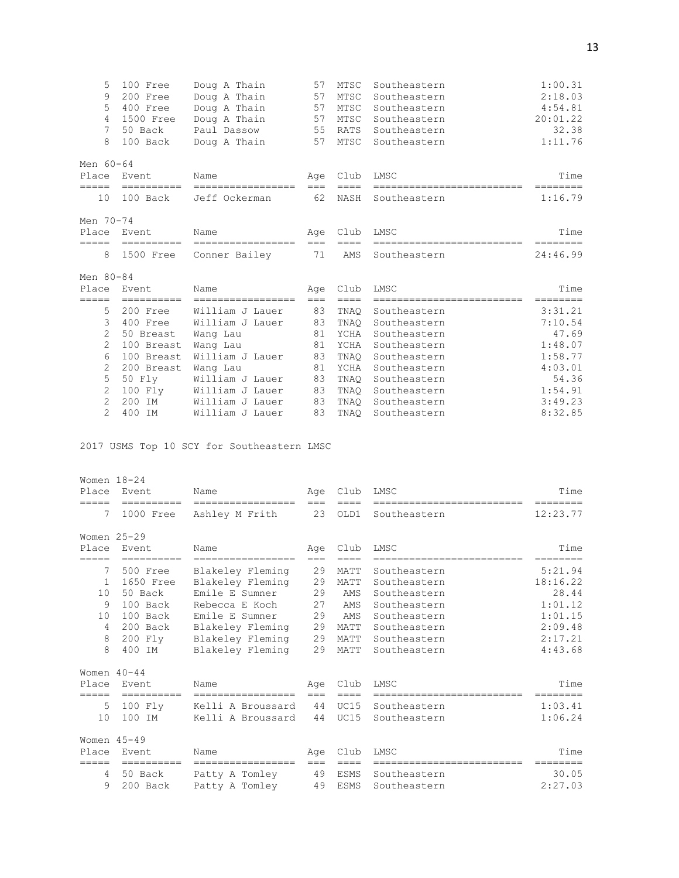| 5               | 100 Free    | Doug A Thain                   | 57    | MTSC            | Southeastern               | 1:00.31           |
|-----------------|-------------|--------------------------------|-------|-----------------|----------------------------|-------------------|
| 9               | 200 Free    | Doug A Thain                   | 57    | MTSC            | Southeastern               | 2:18.03           |
| 5               | 400 Free    | Doug A Thain                   | 57    | MTSC            | Southeastern               | 4:54.81           |
| $\overline{4}$  | 1500 Free   | Doug A Thain                   | 57    | MTSC            | Southeastern               | 20:01.22          |
| 7               | 50 Back     | Paul Dassow                    | 55    | RATS            | Southeastern               | 32.38             |
| 8               | 100 Back    | Doug A Thain                   | 57    | MTSC            | Southeastern               | 1:11.76           |
| Men 60-64       |             |                                |       |                 |                            |                   |
| Place           | Event       | Name                           | Age   | Club            | LMSC                       | Time              |
| $=$ $=$ $=$ $=$ |             | ----------- ------------------ | $===$ | $=$ $=$ $=$ $=$ | -------------------------  | $=$ = = = = = = = |
| 10              | 100 Back    | Jeff Ockerman                  | 62    | NASH            | Southeastern               | 1:16.79           |
| Men 70-74       |             |                                |       |                 |                            |                   |
|                 | Place Event | Name                           |       | Age Club        | LMSC                       | Time              |
| =====           | ==========  | ------------------             | $===$ | ====            | -------------------------- | --------          |
| 8               |             | 1500 Free Conner Bailey        | 71    | AMS             | Southeastern               | 24:46.99          |
| Men 80-84       |             |                                |       |                 |                            |                   |
| Place           | Event       | Name                           | Aqe   | Club            | LMSC                       | Time              |
| =====           |             | =============================  | $===$ | ====            | ------------------------   | --------          |
| 5               | 200 Free    | William J Lauer                | 83    | TNAO            | Southeastern               | 3:31.21           |
| 3               | 400 Free    | William J Lauer                | 83    | TNAO            | Southeastern               | 7:10.54           |
| $\overline{2}$  | 50 Breast   | Wang Lau                       | 81    | YCHA            | Southeastern               | 47.69             |
| 2               | 100 Breast  | Wang Lau                       | 81    | YCHA            | Southeastern               | 1:48.07           |
| 6               | 100 Breast  | William J Lauer                | 83    | TNAO            | Southeastern               | 1:58.77           |
| 2               | 200 Breast  | Wang Lau                       | 81    | YCHA            | Southeastern               | 4:03.01           |
| 5               | 50 Fly      | William J Lauer                | 83    | TNAO            | Southeastern               | 54.36             |
| $\overline{2}$  | 100 Fly     | William J Lauer                | 83    | TNAQ            | Southeastern               | 1:54.91           |
| $\overline{2}$  | 200 IM      | William J Lauer                | 83    | TNAO            | Southeastern               | 3:49.23           |
| $\overline{2}$  | 400 IM      | William J Lauer                | 83    | TNAO            | Southeastern               | 8:32.85           |

2017 USMS Top 10 SCY for Southeastern LMSC

| Women $18-24$           |                         |                                      |             |                |                                           |                      |
|-------------------------|-------------------------|--------------------------------------|-------------|----------------|-------------------------------------------|----------------------|
| Place                   | Event                   | Name                                 | Age         | Club           | LMSC                                      | Time                 |
| =====<br>7              | ----------<br>1000 Free | -----------------<br>Ashley M Frith  | $===$<br>23 | $====$<br>OLD1 | -------------------------<br>Southeastern | ========<br>12:23.77 |
| Women $25-29$           |                         |                                      |             |                |                                           |                      |
| Place                   | Event                   | Name                                 | Age         | Club           | LMSC                                      | Time                 |
| =====<br>7              | ==========<br>500 Free  | ==================                   | $==$<br>29  | $====$<br>MATT | Southeastern                              | 5:21.94              |
| 1                       | 1650 Free               | Blakeley Fleming<br>Blakeley Fleming | 29          | MATT           | Southeastern                              | 18:16.22             |
| 10                      | 50 Back                 | Emile E Sumner                       | 29          | AMS            | Southeastern                              | 28.44                |
| 9                       | 100 Back                | Rebecca E Koch                       | 27          | AMS            | Southeastern                              | 1:01.12              |
| 10                      | 100 Back                | Emile E Sumner                       | 29          | AMS            | Southeastern                              | 1:01.15              |
| $\overline{4}$          | 200 Back                | Blakeley Fleming                     | 29          | MATT           | Southeastern                              | 2:09.48              |
| 8                       | 200 Fly                 | Blakeley Fleming                     | 29          | MATT           | Southeastern                              | 2:17.21              |
| 8                       | 400 IM                  | Blakeley Fleming                     | 29          | MATT           | Southeastern                              | 4:43.68              |
| Women $40 - 44$         |                         |                                      |             |                |                                           |                      |
| Place                   | Event                   | Name                                 | Age         | Club           | LMSC                                      | Time                 |
| $=$ $=$ $=$ $=$         | ==========              | =============                        | $===$       |                |                                           | ========             |
| 5                       | $100$ $Fly$             | Kelli A Broussard                    | 44          | UC15           | Southeastern                              | 1:03.41              |
| 10                      | 100 IM                  | Kelli A Broussard                    | 44          | UC15           | Southeastern                              | 1:06.24              |
| Women $45 - 49$         |                         |                                      |             |                |                                           |                      |
| Place                   | Event                   | Name                                 | Age         | Club           | LMSC                                      | Time                 |
| =====<br>$\overline{4}$ | ==========<br>50 Back   | -----------------<br>Patty A Tomley  | $===$<br>49 | $====$<br>ESMS | =====================<br>Southeastern     | ========<br>30.05    |
| 9                       | 200 Back                | Patty A Tomley                       | 49          | <b>ESMS</b>    | Southeastern                              | 2:27.03              |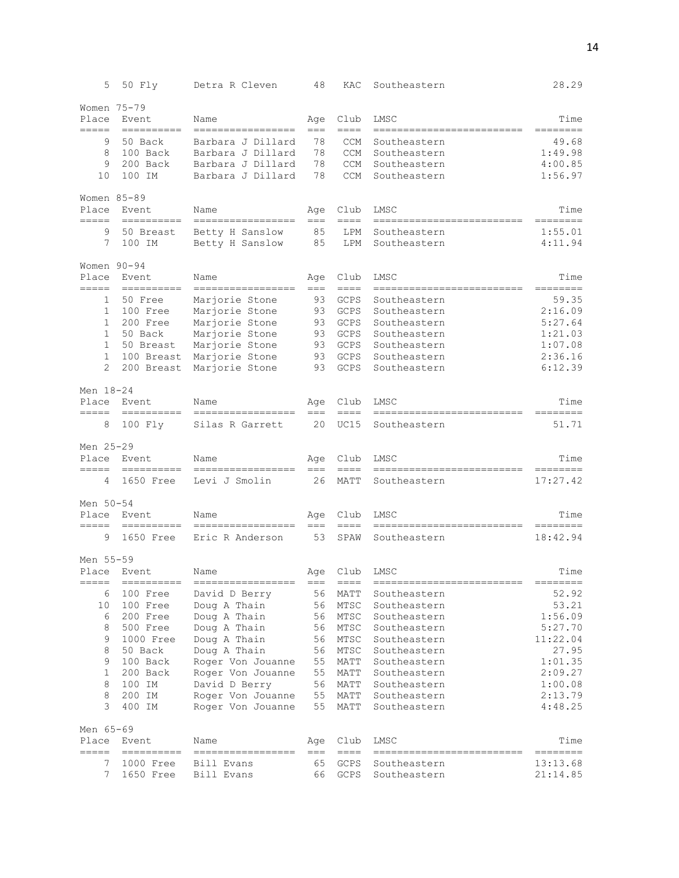| 5                                       | 50 Fly                | Detra R Cleven                       | 48            | KAC               | Southeastern                              | 28.29                                   |
|-----------------------------------------|-----------------------|--------------------------------------|---------------|-------------------|-------------------------------------------|-----------------------------------------|
| Women 75-79<br>Place<br>$=$ $=$ $=$ $=$ | Event<br>----------   | Name<br>-----------------            | Age<br>$==$   | Club<br>$== == =$ | LMSC<br>=========================         | Time<br>========                        |
| 9                                       | 50 Back               | Barbara J Dillard                    | 78            | <b>CCM</b>        | Southeastern                              | 49.68                                   |
| 8                                       | 100 Back              | Barbara J Dillard                    | 78            | <b>CCM</b>        | Southeastern                              | 1:49.98                                 |
| 9                                       | 200 Back              | Barbara J Dillard                    | 78            | <b>CCM</b>        | Southeastern                              | 4:00.85                                 |
| 10                                      | 100 IM                | Barbara J Dillard                    | 78            | <b>CCM</b>        | Southeastern                              | 1:56.97                                 |
| Women 85-89<br>Place<br>=====           | Event<br>==========   | Name<br>-----------------            | Age<br>$==$   | Club<br>$==-=$    | LMSC<br>--------------------------        | Time<br>========                        |
| 9                                       | 50 Breast             | Betty H Sanslow                      | 85            | LPM               | Southeastern                              | 1:55.01                                 |
| 7                                       | 100 IM                | Betty H Sanslow                      | 85            | LPM               | Southeastern                              | 4:11.94                                 |
| Women 90-94<br>Place                    | Event                 | Name                                 | Age           | Club              | LMSC                                      | Time                                    |
| $=====$<br>1                            | ----------<br>50 Free | -----------------<br>Marjorie Stone  | $==$<br>93    | $==-=$<br>GCPS    | =========================<br>Southeastern | --------<br>59.35                       |
| 1                                       | 100 Free              | Marjorie Stone                       | 93            | GCPS              | Southeastern                              | 2:16.09                                 |
| $\mathbf{1}$                            | 200 Free              | Marjorie Stone                       | 93            | GCPS              | Southeastern                              | 5:27.64                                 |
| $\mathbf 1$                             | 50 Back               | Marjorie Stone                       | 93            | GCPS              | Southeastern                              | 1:21.03                                 |
| 1                                       | 50 Breast             | Marjorie Stone                       | 93            | GCPS              | Southeastern                              | 1:07.08                                 |
| 1                                       | 100 Breast            | Marjorie Stone                       | 93            | GCPS              | Southeastern                              | 2:36.16                                 |
| 2                                       | 200 Breast            | Marjorie Stone                       | 93            | <b>GCPS</b>       | Southeastern                              | 6:12.39                                 |
| Men 18-24                               |                       |                                      |               |                   |                                           |                                         |
| Place<br>=====                          | Event<br>----------   | Name<br>=================            | Age<br>$===$  | Club<br>$== ==$   | LMSC<br>-----------------------           | Time<br>========                        |
| 8                                       | 100 Fly               | Silas R Garrett                      | 20            | UC15              | Southeastern                              | 51.71                                   |
| Men 25-29                               |                       |                                      |               |                   |                                           |                                         |
| Place<br>$=====$                        | Event<br>==========   | Name<br>-----------------            | Age<br>$===$  | Club<br>$== == =$ | LMSC<br>===========================       | Time<br>--------                        |
| 4                                       | 1650 Free             | Levi J Smolin                        | 26            | MATT              | Southeastern                              | 17:27.42                                |
| Men 50-54<br>Place                      | Event                 | Name                                 | Age           | Club              | LMSC                                      | Time                                    |
| $=====$<br>9                            | 1650 Free             | -----------------<br>Eric R Anderson | $==$<br>53    | $= = = =$<br>SPAW | =========================<br>Southeastern | $=$ $=$ $=$ $=$ $=$ $=$ $=$<br>18:42.94 |
|                                         |                       |                                      |               |                   |                                           |                                         |
| Men 55-59<br>Place                      | Event                 | Name                                 | Age           | Club              | LMSC                                      | Time                                    |
| =====                                   | ----------            | -----------------                    | $==$          | $=$ $=$ $=$       | -------------------------                 | ========                                |
| 6                                       | 100 Free              | David D Berry                        | 56            | MATT              | Southeastern                              | 52.92                                   |
| 10                                      | 100 Free              | Doug A Thain                         | 56            | MTSC              | Southeastern                              | 53.21                                   |
| 6                                       | 200 Free              | Doug A Thain                         | 56            | MTSC              | Southeastern                              | 1:56.09                                 |
| 8                                       | 500 Free              | Doug A Thain                         | 56            | MTSC              | Southeastern                              | 5:27.70                                 |
| 9                                       | 1000 Free             | Doug A Thain                         | 56            | MTSC              | Southeastern                              | 11:22.04                                |
| 8                                       | 50 Back               | Doug A Thain                         | 56            | MTSC              | Southeastern                              | 27.95                                   |
| 9                                       | 100 Back              | Roger Von Jouanne                    | 55            | MATT              | Southeastern                              | 1:01.35                                 |
| 1                                       | 200 Back              | Roger Von Jouanne                    | 55            | MATT              | Southeastern                              | 2:09.27                                 |
| 8                                       | 100 IM                | David D Berry                        | 56            | MATT              | Southeastern                              | 1:00.08                                 |
| 8                                       | 200 IM                | Roger Von Jouanne                    | 55            | MATT              | Southeastern                              | 2:13.79                                 |
| 3                                       | 400 IM                | Roger Von Jouanne                    | 55            | MATT              | Southeastern                              | 4:48.25                                 |
| Men 65-69                               |                       |                                      |               |                   |                                           |                                         |
| Place<br>=====                          | Event<br>----------   | Name<br>=================            | Age<br>$== =$ | Club<br>$==-=$    | LMSC<br>--------------------------        | Time<br>========                        |
| 7                                       | 1000 Free             | Bill Evans                           | 65            | GCPS              | Southeastern                              | 13:13.68                                |
| 7                                       | 1650 Free             | Bill Evans                           | 66            | GCPS              | Southeastern                              | 21:14.85                                |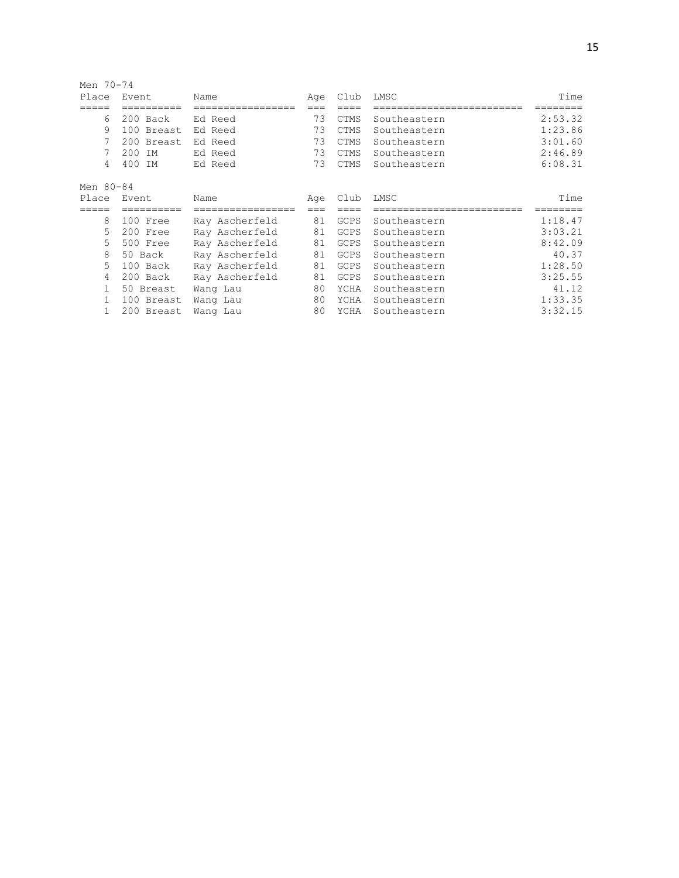| Men 70-74 |            |                |     |             |              |         |
|-----------|------------|----------------|-----|-------------|--------------|---------|
| Place     | Event      | Name           | Age | Club        | LMSC         | Time    |
|           | =======    | =============  | === |             |              |         |
| 6         | 200 Back   | Ed Reed        | 73  | <b>CTMS</b> | Southeastern | 2:53.32 |
| 9         | 100 Breast | Ed Reed        | 73  | <b>CTMS</b> | Southeastern | 1:23.86 |
| 7         | 200 Breast | Ed Reed        | 73  | CTMS        | Southeastern | 3:01.60 |
| 7         | 200<br>ΙM  | Ed Reed        | 73  | <b>CTMS</b> | Southeastern | 2:46.89 |
| 4         | 400 IM     | Ed Reed        | 73  | <b>CTMS</b> | Southeastern | 6:08.31 |
| Men 80-84 |            |                |     |             |              |         |
| Place     | Event      | Name           | Age | Club        | LMSC         | Time    |
|           | =======    | =============  |     |             |              |         |
| 8         | 100 Free   | Ray Ascherfeld | 81  | GCPS        | Southeastern | 1:18.47 |
| 5         | 200 Free   | Ray Ascherfeld | 81  | GCPS        | Southeastern | 3:03.21 |
| 5         | 500 Free   | Ray Ascherfeld | 81  | GCPS        | Southeastern | 8:42.09 |
| 8         | 50 Back    | Ray Ascherfeld | 81  | GCPS        | Southeastern | 40.37   |
| 5         | 100 Back   | Ray Ascherfeld | 81  | GCPS        | Southeastern | 1:28.50 |
| 4         | 200 Back   | Ray Ascherfeld | 81  | <b>GCPS</b> | Southeastern | 3:25.55 |
| 1         | 50 Breast  | Wang Lau       | 80  | YCHA        | Southeastern | 41.12   |
| 1         | 100 Breast | Wang Lau       | 80  | YCHA        | Southeastern | 1:33.35 |
| 1         | 200 Breast | Wang Lau       | 80  | YCHA        | Southeastern | 3:32.15 |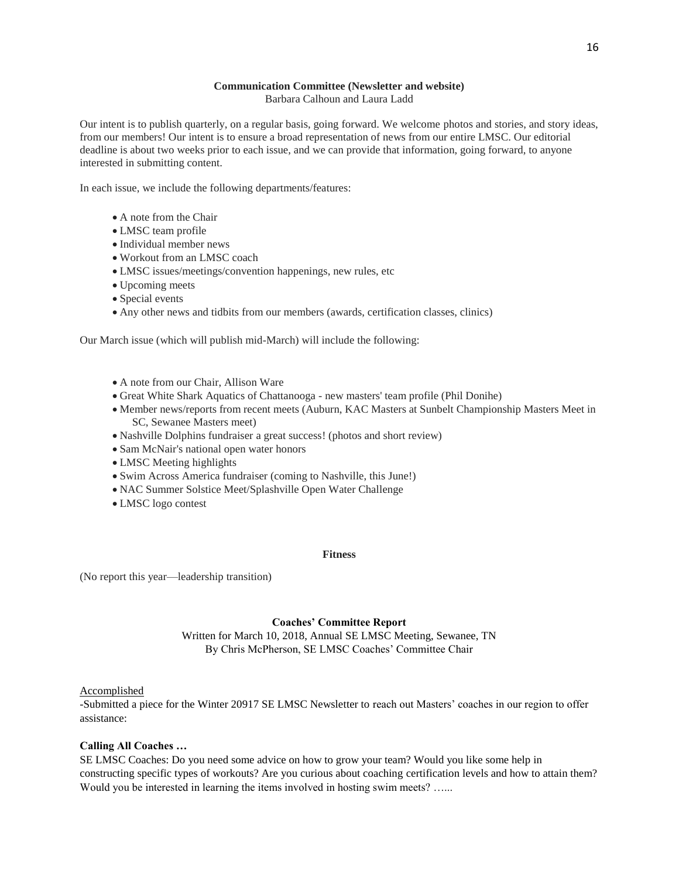#### **Communication Committee (Newsletter and website)** Barbara Calhoun and Laura Ladd

Our intent is to publish quarterly, on a regular basis, going forward. We welcome photos and stories, and story ideas, from our members! Our intent is to ensure a broad representation of news from our entire LMSC. Our editorial deadline is about two weeks prior to each issue, and we can provide that information, going forward, to anyone interested in submitting content.

In each issue, we include the following departments/features:

- A note from the Chair
- LMSC team profile
- Individual member news
- Workout from an LMSC coach
- LMSC issues/meetings/convention happenings, new rules, etc
- Upcoming meets
- Special events
- Any other news and tidbits from our members (awards, certification classes, clinics)

Our March issue (which will publish mid-March) will include the following:

- A note from our Chair, Allison Ware
- Great White Shark Aquatics of Chattanooga new masters' team profile (Phil Donihe)
- Member news/reports from recent meets (Auburn, KAC Masters at Sunbelt Championship Masters Meet in SC, Sewanee Masters meet)
- Nashville Dolphins fundraiser a great success! (photos and short review)
- Sam McNair's national open water honors
- LMSC Meeting highlights
- Swim Across America fundraiser (coming to Nashville, this June!)
- NAC Summer Solstice Meet/Splashville Open Water Challenge
- LMSC logo contest

#### **Fitness**

(No report this year—leadership transition)

#### **Coaches' Committee Report**

Written for March 10, 2018, Annual SE LMSC Meeting, Sewanee, TN By Chris McPherson, SE LMSC Coaches' Committee Chair

#### Accomplished

-Submitted a piece for the Winter 20917 SE LMSC Newsletter to reach out Masters' coaches in our region to offer assistance:

#### **Calling All Coaches …**

SE LMSC Coaches: Do you need some advice on how to grow your team? Would you like some help in constructing specific types of workouts? Are you curious about coaching certification levels and how to attain them? Would you be interested in learning the items involved in hosting swim meets? …...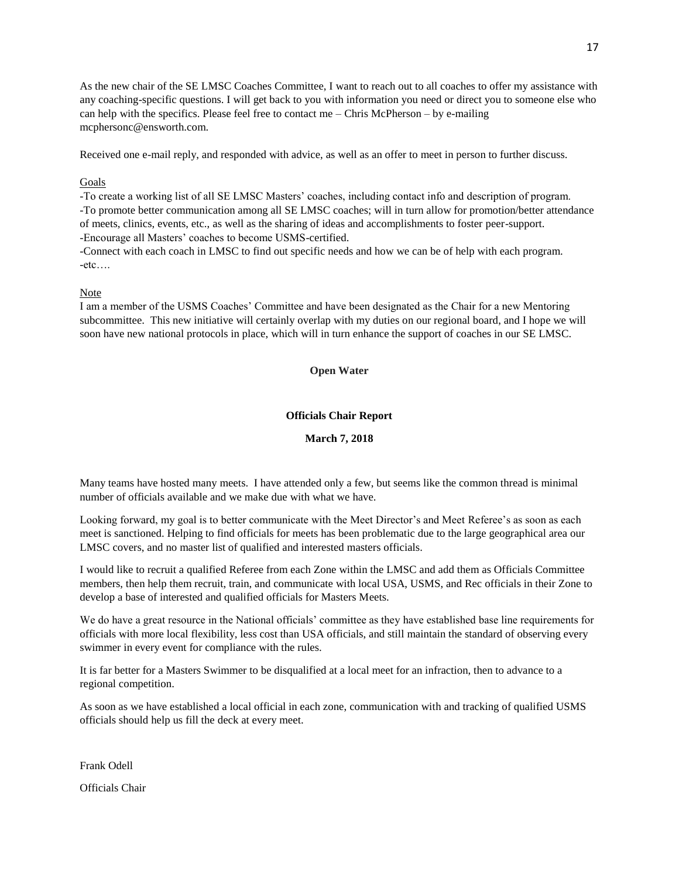As the new chair of the SE LMSC Coaches Committee, I want to reach out to all coaches to offer my assistance with any coaching-specific questions. I will get back to you with information you need or direct you to someone else who can help with the specifics. Please feel free to contact me  $-$  Chris McPherson  $-$  by e-mailing mcphersonc@ensworth.com.

Received one e-mail reply, and responded with advice, as well as an offer to meet in person to further discuss.

### **Goals**

-To create a working list of all SE LMSC Masters' coaches, including contact info and description of program. -To promote better communication among all SE LMSC coaches; will in turn allow for promotion/better attendance of meets, clinics, events, etc., as well as the sharing of ideas and accomplishments to foster peer-support. -Encourage all Masters' coaches to become USMS-certified.

-Connect with each coach in LMSC to find out specific needs and how we can be of help with each program.  $-etc...$ 

### Note

I am a member of the USMS Coaches' Committee and have been designated as the Chair for a new Mentoring subcommittee. This new initiative will certainly overlap with my duties on our regional board, and I hope we will soon have new national protocols in place, which will in turn enhance the support of coaches in our SE LMSC.

### **Open Water**

### **Officials Chair Report**

### **March 7, 2018**

Many teams have hosted many meets. I have attended only a few, but seems like the common thread is minimal number of officials available and we make due with what we have.

Looking forward, my goal is to better communicate with the Meet Director's and Meet Referee's as soon as each meet is sanctioned. Helping to find officials for meets has been problematic due to the large geographical area our LMSC covers, and no master list of qualified and interested masters officials.

I would like to recruit a qualified Referee from each Zone within the LMSC and add them as Officials Committee members, then help them recruit, train, and communicate with local USA, USMS, and Rec officials in their Zone to develop a base of interested and qualified officials for Masters Meets.

We do have a great resource in the National officials' committee as they have established base line requirements for officials with more local flexibility, less cost than USA officials, and still maintain the standard of observing every swimmer in every event for compliance with the rules.

It is far better for a Masters Swimmer to be disqualified at a local meet for an infraction, then to advance to a regional competition.

As soon as we have established a local official in each zone, communication with and tracking of qualified USMS officials should help us fill the deck at every meet.

Frank Odell

Officials Chair